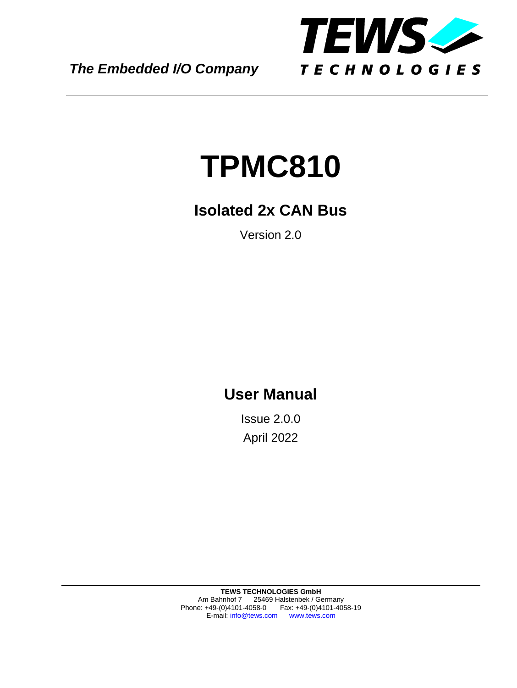*The Embedded I/O Company*



# **TPMC810**

### **Isolated 2x CAN Bus**

Version 2.0

### **User Manual**

Issue 2.0.0 April 2022

**TEWS TECHNOLOGIES GmbH**  Am Bahnhof 7 25469 Halstenbek / Germany Phone: +49-(0)4101-4058-0 Fax: +49-(0)4101-4058-19 E-mail: [info@tews.com](mailto:info@tews.com) [www.tews.com](http://www.tews.com/)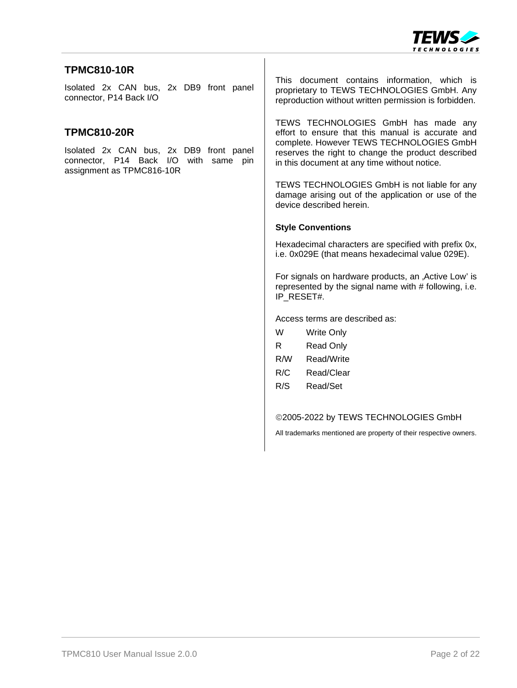

#### **TPMC810-10R**

Isolated 2x CAN bus, 2x DB9 front panel connector, P14 Back I/O

#### **TPMC810-20R**

Isolated 2x CAN bus, 2x DB9 front panel connector, P14 Back I/O with same pin assignment as TPMC816-10R

This document contains information, which is proprietary to TEWS TECHNOLOGIES GmbH. Any reproduction without written permission is forbidden.

TEWS TECHNOLOGIES GmbH has made any effort to ensure that this manual is accurate and complete. However TEWS TECHNOLOGIES GmbH reserves the right to change the product described in this document at any time without notice.

TEWS TECHNOLOGIES GmbH is not liable for any damage arising out of the application or use of the device described herein.

#### **Style Conventions**

Hexadecimal characters are specified with prefix 0x, i.e. 0x029E (that means hexadecimal value 029E).

For signals on hardware products, an , Active Low' is represented by the signal name with # following, i.e. IP\_RESET#.

Access terms are described as:

| W   | <b>Write Only</b> |
|-----|-------------------|
| R   | <b>Read Only</b>  |
| R/W | Read/Write        |
| R/C | Read/Clear        |
| R/S | Read/Set          |
|     |                   |

#### 2005-2022 by TEWS TECHNOLOGIES GmbH

All trademarks mentioned are property of their respective owners.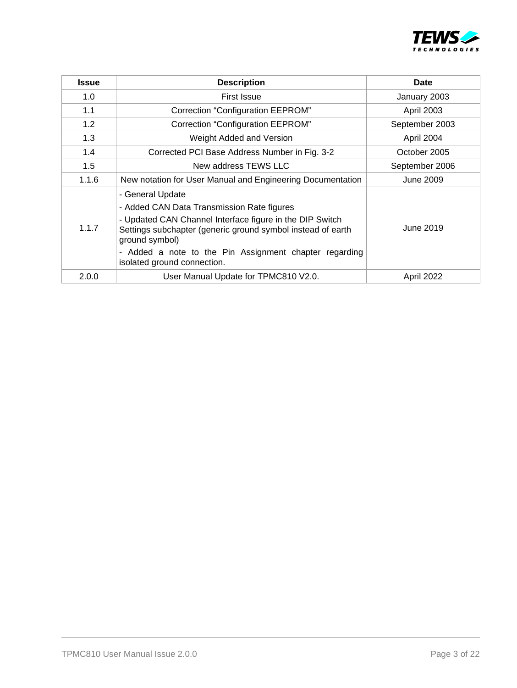

| <b>Issue</b> | <b>Description</b>                                                                                                                                                                                                                                                                                   | <b>Date</b>    |
|--------------|------------------------------------------------------------------------------------------------------------------------------------------------------------------------------------------------------------------------------------------------------------------------------------------------------|----------------|
| 1.0          | <b>First Issue</b>                                                                                                                                                                                                                                                                                   | January 2003   |
| 1.1          | <b>Correction "Configuration EEPROM"</b>                                                                                                                                                                                                                                                             | April 2003     |
| 1.2          | <b>Correction "Configuration EEPROM"</b>                                                                                                                                                                                                                                                             | September 2003 |
| 1.3          | Weight Added and Version                                                                                                                                                                                                                                                                             | April 2004     |
| 1.4          | Corrected PCI Base Address Number in Fig. 3-2                                                                                                                                                                                                                                                        | October 2005   |
| 1.5          | New address TEWS LLC                                                                                                                                                                                                                                                                                 | September 2006 |
| 1.1.6        | New notation for User Manual and Engineering Documentation                                                                                                                                                                                                                                           | June 2009      |
| 1.1.7        | - General Update<br>- Added CAN Data Transmission Rate figures<br>- Updated CAN Channel Interface figure in the DIP Switch<br>Settings subchapter (generic ground symbol instead of earth<br>ground symbol)<br>- Added a note to the Pin Assignment chapter regarding<br>isolated ground connection. | June 2019      |
| 2.0.0        | User Manual Update for TPMC810 V2.0.                                                                                                                                                                                                                                                                 | April 2022     |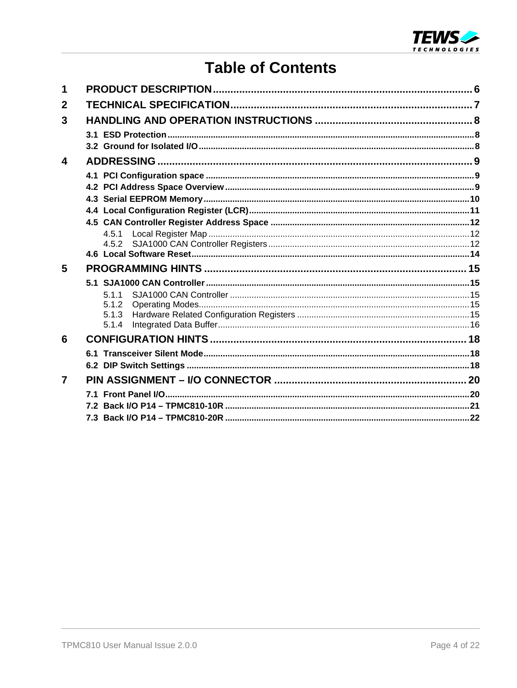

### **Table of Contents**

| 4.5.1 |                         |
|-------|-------------------------|
|       |                         |
|       |                         |
|       |                         |
|       |                         |
| 5.1.1 |                         |
|       |                         |
|       |                         |
|       |                         |
|       |                         |
|       |                         |
|       |                         |
|       |                         |
|       |                         |
|       |                         |
|       | 5.1.2<br>5.1.3<br>5.1.4 |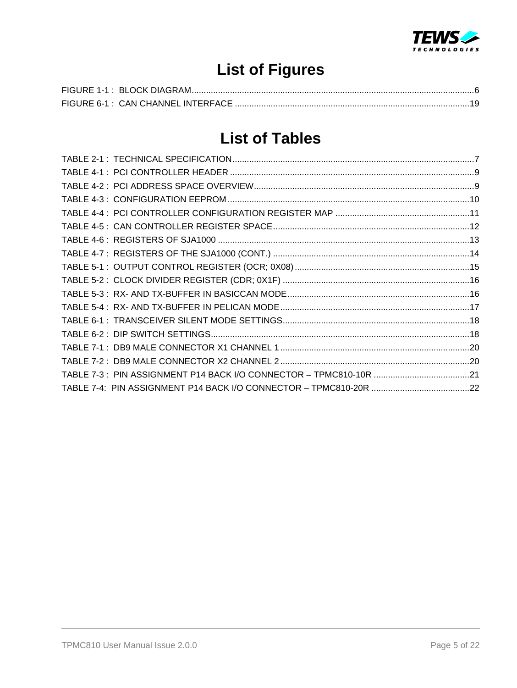

# **List of Figures**

### **List of Tables**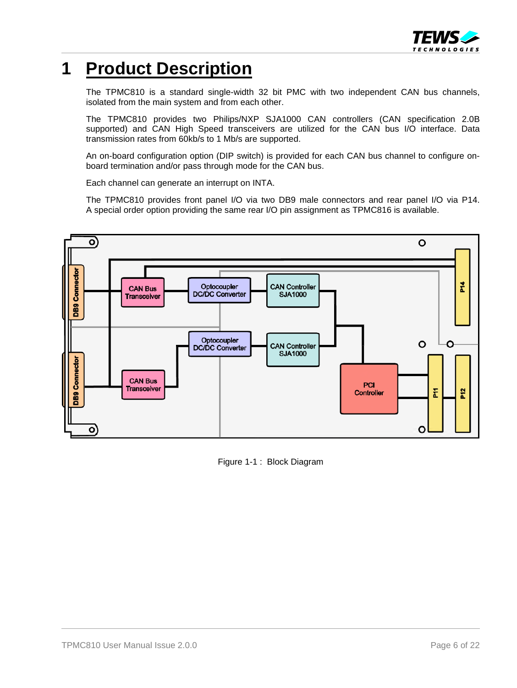

### <span id="page-5-0"></span>**1 Product Description**

The TPMC810 is a standard single-width 32 bit PMC with two independent CAN bus channels, isolated from the main system and from each other.

The TPMC810 provides two Philips/NXP SJA1000 CAN controllers (CAN specification 2.0B supported) and CAN High Speed transceivers are utilized for the CAN bus I/O interface. Data transmission rates from 60kb/s to 1 Mb/s are supported.

An on-board configuration option (DIP switch) is provided for each CAN bus channel to configure onboard termination and/or pass through mode for the CAN bus.

Each channel can generate an interrupt on INTA.

The TPMC810 provides front panel I/O via two DB9 male connectors and rear panel I/O via P14. A special order option providing the same rear I/O pin assignment as TPMC816 is available.



<span id="page-5-1"></span>Figure 1-1 : Block Diagram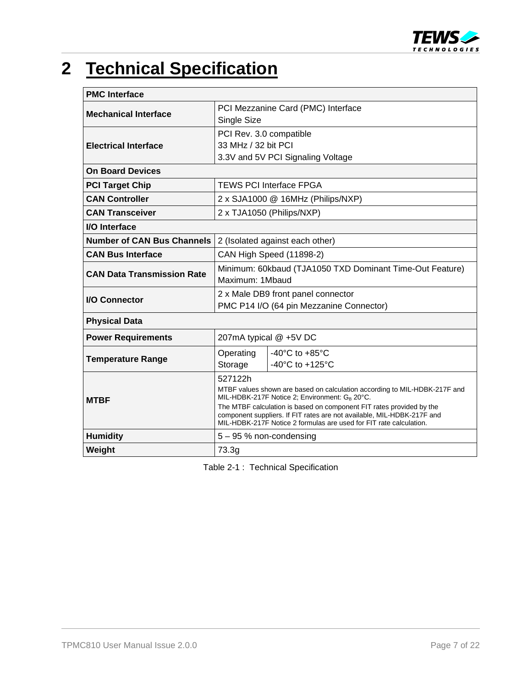

# <span id="page-6-0"></span>**2 Technical Specification**

| <b>PMC</b> Interface              |                                                                                                                                              |                                       |  |  |  |
|-----------------------------------|----------------------------------------------------------------------------------------------------------------------------------------------|---------------------------------------|--|--|--|
|                                   |                                                                                                                                              | PCI Mezzanine Card (PMC) Interface    |  |  |  |
| <b>Mechanical Interface</b>       | Single Size                                                                                                                                  |                                       |  |  |  |
|                                   | PCI Rev. 3.0 compatible                                                                                                                      |                                       |  |  |  |
| <b>Electrical Interface</b>       | 33 MHz / 32 bit PCI                                                                                                                          |                                       |  |  |  |
|                                   |                                                                                                                                              | 3.3V and 5V PCI Signaling Voltage     |  |  |  |
| <b>On Board Devices</b>           |                                                                                                                                              |                                       |  |  |  |
| <b>PCI Target Chip</b>            |                                                                                                                                              | <b>TEWS PCI Interface FPGA</b>        |  |  |  |
| <b>CAN Controller</b>             |                                                                                                                                              | 2 x SJA1000 @ 16MHz (Philips/NXP)     |  |  |  |
| <b>CAN Transceiver</b>            |                                                                                                                                              | 2 x TJA1050 (Philips/NXP)             |  |  |  |
| I/O Interface                     |                                                                                                                                              |                                       |  |  |  |
| <b>Number of CAN Bus Channels</b> | 2 (Isolated against each other)                                                                                                              |                                       |  |  |  |
| <b>CAN Bus Interface</b>          | CAN High Speed (11898-2)                                                                                                                     |                                       |  |  |  |
| <b>CAN Data Transmission Rate</b> | Minimum: 60kbaud (TJA1050 TXD Dominant Time-Out Feature)                                                                                     |                                       |  |  |  |
|                                   | Maximum: 1Mbaud                                                                                                                              |                                       |  |  |  |
| <b>I/O Connector</b>              | 2 x Male DB9 front panel connector                                                                                                           |                                       |  |  |  |
|                                   | PMC P14 I/O (64 pin Mezzanine Connector)                                                                                                     |                                       |  |  |  |
| <b>Physical Data</b>              |                                                                                                                                              |                                       |  |  |  |
| <b>Power Requirements</b>         | 207mA typical @ +5V DC                                                                                                                       |                                       |  |  |  |
| <b>Temperature Range</b>          | Operating                                                                                                                                    | -40 $^{\circ}$ C to +85 $^{\circ}$ C  |  |  |  |
|                                   | Storage                                                                                                                                      | -40 $^{\circ}$ C to +125 $^{\circ}$ C |  |  |  |
|                                   | 527122h                                                                                                                                      |                                       |  |  |  |
|                                   | MTBF values shown are based on calculation according to MIL-HDBK-217F and                                                                    |                                       |  |  |  |
| <b>MTBF</b>                       | MIL-HDBK-217F Notice 2; Environment: GB 20°C.<br>The MTBF calculation is based on component FIT rates provided by the                        |                                       |  |  |  |
|                                   | component suppliers. If FIT rates are not available, MIL-HDBK-217F and<br>MIL-HDBK-217F Notice 2 formulas are used for FIT rate calculation. |                                       |  |  |  |
| <b>Humidity</b>                   | $5 - 95$ % non-condensing                                                                                                                    |                                       |  |  |  |
| Weight                            | 73.3g                                                                                                                                        |                                       |  |  |  |

<span id="page-6-2"></span><span id="page-6-1"></span>Table 2-1 : Technical Specification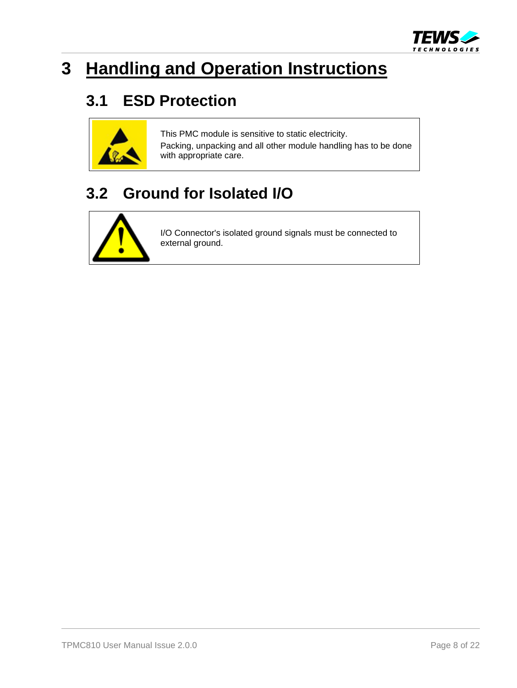

# <span id="page-7-0"></span>**3 Handling and Operation Instructions**

### <span id="page-7-1"></span>**3.1 ESD Protection**



This PMC module is sensitive to static electricity. Packing, unpacking and all other module handling has to be done with appropriate care.

### <span id="page-7-2"></span>**3.2 Ground for Isolated I/O**



I/O Connector's isolated ground signals must be connected to external ground.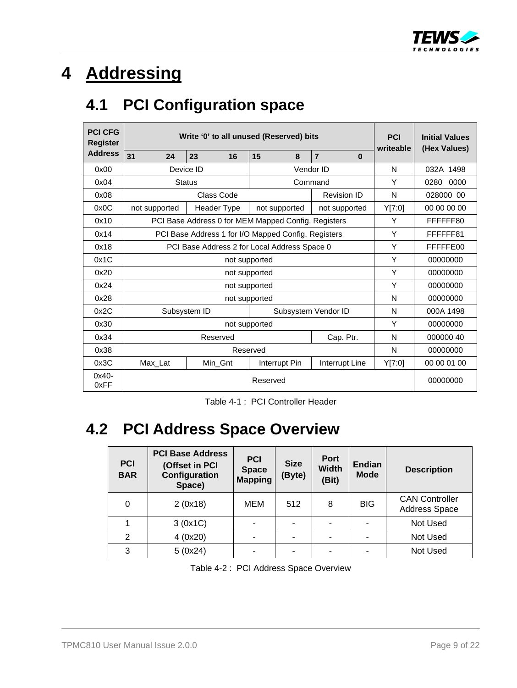

# <span id="page-8-0"></span>**4 Addressing**

### <span id="page-8-1"></span>**4.1 PCI Configuration space**

| <b>PCI CFG</b><br>Register | Write '0' to all unused (Reserved) bits | <b>PCI</b><br>writeable                             | <b>Initial Values</b><br>(Hex Values) |                     |        |              |
|----------------------------|-----------------------------------------|-----------------------------------------------------|---------------------------------------|---------------------|--------|--------------|
| <b>Address</b>             | 31<br>24                                | 23<br>16                                            | 15<br>8                               | $\overline{7}$<br>0 |        |              |
| 0x00                       |                                         | Device ID                                           |                                       | Vendor ID           | N      | 032A 1498    |
| 0x04                       |                                         | <b>Status</b>                                       |                                       | Command             | Υ      | 0280<br>0000 |
| 0x08                       |                                         | Class Code                                          |                                       | <b>Revision ID</b>  | N      | 028000 00    |
| 0x0C                       | not supported                           | Header Type                                         | not supported                         | not supported       | Y[7:0] | 00 00 00 00  |
| 0x10                       |                                         | PCI Base Address 0 for MEM Mapped Config. Registers |                                       |                     | Υ      | FFFFFF80     |
| 0x14                       |                                         | PCI Base Address 1 for I/O Mapped Config. Registers |                                       |                     | Υ      | FFFFFF81     |
| 0x18                       |                                         | PCI Base Address 2 for Local Address Space 0        |                                       |                     | Υ      | FFFFFE00     |
| 0x1C                       |                                         | Y                                                   | 00000000                              |                     |        |              |
| 0x20                       |                                         | Υ                                                   | 00000000                              |                     |        |              |
| 0x24                       |                                         |                                                     | not supported                         |                     | Υ      | 00000000     |
| 0x28                       |                                         |                                                     | not supported                         |                     | N      | 00000000     |
| 0x2C                       |                                         | Subsystem ID                                        |                                       | Subsystem Vendor ID | N      | 000A 1498    |
| 0x30                       |                                         |                                                     | not supported                         |                     | Υ      | 00000000     |
| 0x34                       |                                         | Reserved                                            |                                       | Cap. Ptr.           | N      | 000000 40    |
| 0x38                       | Reserved                                |                                                     |                                       |                     |        | 00000000     |
| 0x3C                       | Max_Lat                                 | Min_Gnt                                             | Interrupt Pin                         | Interrupt Line      | Y[7:0] | 00 00 01 00  |
| $0x40 -$<br>0xFF           |                                         | 00000000                                            |                                       |                     |        |              |

<span id="page-8-4"></span>Table 4-1 : PCI Controller Header

# <span id="page-8-3"></span><span id="page-8-2"></span>**4.2 PCI Address Space Overview**

| <b>PCI</b><br><b>BAR</b> | <b>PCI Base Address</b><br>(Offset in PCI<br>Configuration<br>Space) | <b>PCI</b><br><b>Space</b><br><b>Mapping</b> | <b>Size</b><br>(Byte) | <b>Port</b><br><b>Width</b><br>(Bit) | <b>Endian</b><br><b>Mode</b> | <b>Description</b>                            |
|--------------------------|----------------------------------------------------------------------|----------------------------------------------|-----------------------|--------------------------------------|------------------------------|-----------------------------------------------|
| 0                        | 2(0x18)                                                              | MEM                                          | 512                   | 8                                    | <b>BIG</b>                   | <b>CAN Controller</b><br><b>Address Space</b> |
|                          | 3(0x1C)                                                              |                                              |                       |                                      |                              | Not Used                                      |
| $\overline{2}$           | 4(0x20)                                                              |                                              |                       |                                      |                              | Not Used                                      |
| 3                        | 5(0x24)                                                              | ۰                                            | ۰                     |                                      | -                            | Not Used                                      |

<span id="page-8-5"></span>Table 4-2 : PCI Address Space Overview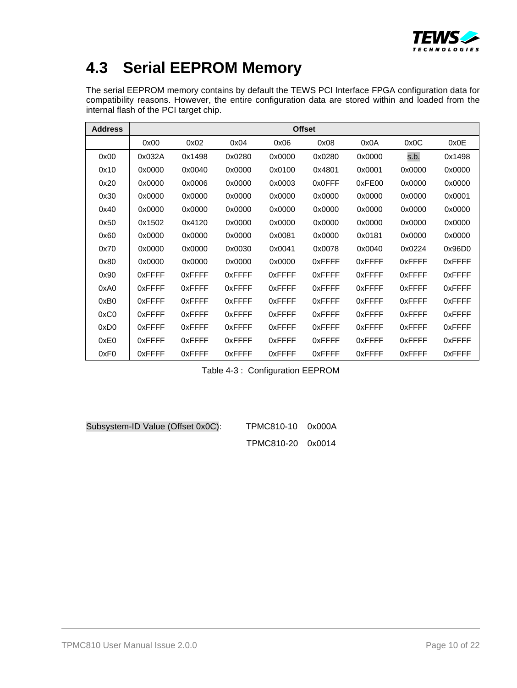

### <span id="page-9-0"></span>**4.3 Serial EEPROM Memory**

The serial EEPROM memory contains by default the TEWS PCI Interface FPGA configuration data for compatibility reasons. However, the entire configuration data are stored within and loaded from the internal flash of the PCI target chip.

| <b>Address</b>   | <b>Offset</b> |        |        |        |        |        |        |        |
|------------------|---------------|--------|--------|--------|--------|--------|--------|--------|
|                  | 0x00          | 0x02   | 0x04   | 0x06   | 0x08   | 0x0A   | 0x0C   | 0x0E   |
| 0x00             | 0x032A        | 0x1498 | 0x0280 | 0x0000 | 0x0280 | 0x0000 | s.b.   | 0x1498 |
| 0x10             | 0x0000        | 0x0040 | 0x0000 | 0x0100 | 0x4801 | 0x0001 | 0x0000 | 0x0000 |
| 0x20             | 0x0000        | 0x0006 | 0x0000 | 0x0003 | 0x0FFF | 0xFE00 | 0x0000 | 0x0000 |
| 0x30             | 0x0000        | 0x0000 | 0x0000 | 0x0000 | 0x0000 | 0x0000 | 0x0000 | 0x0001 |
| 0x40             | 0x0000        | 0x0000 | 0x0000 | 0x0000 | 0x0000 | 0x0000 | 0x0000 | 0x0000 |
| 0x50             | 0x1502        | 0x4120 | 0x0000 | 0x0000 | 0x0000 | 0x0000 | 0x0000 | 0x0000 |
| 0x60             | 0x0000        | 0x0000 | 0x0000 | 0x0081 | 0x0000 | 0x0181 | 0x0000 | 0x0000 |
| 0x70             | 0x0000        | 0x0000 | 0x0030 | 0x0041 | 0x0078 | 0x0040 | 0x0224 | 0x96D0 |
| 0x80             | 0x0000        | 0x0000 | 0x0000 | 0x0000 | 0xFFFF | 0xFFFF | 0xFFFF | 0xFFFF |
| 0x90             | 0xFFFF        | 0xFFFF | 0xFFFF | 0xFFFF | 0xFFFF | 0xFFFF | 0xFFFF | 0xFFFF |
| 0xA0             | 0xFFFF        | 0xFFFF | 0xFFFF | 0xFFFF | 0xFFFF | 0xFFFF | 0xFFFF | 0xFFFF |
| 0xB0             | 0xFFFF        | 0xFFFF | 0xFFFF | 0xFFFF | 0xFFFF | 0xFFFF | 0xFFFF | 0xFFFF |
| 0xC0             | 0xFFFF        | 0xFFFF | 0xFFFF | 0xFFFF | 0xFFFF | 0xFFFF | 0xFFFF | 0xFFFF |
| 0xD <sub>0</sub> | 0xFFFF        | 0xFFFF | 0xFFFF | 0xFFFF | 0xFFFF | 0xFFFF | 0xFFFF | 0xFFFF |
| 0xE0             | 0xFFFF        | 0xFFFF | 0xFFFF | 0xFFFF | 0xFFFF | 0xFFFF | 0xFFFF | 0xFFFF |
| 0xF <sub>0</sub> | 0xFFFF        | 0xFFFF | 0xFFFF | 0xFFFF | 0xFFFF | 0xFFFF | 0xFFFF | 0xFFFF |

Table 4-3 : Configuration EEPROM

<span id="page-9-1"></span>Subsystem-ID Value (Offset 0x0C): TPMC810-10 0x000A

TPMC810-20 0x0014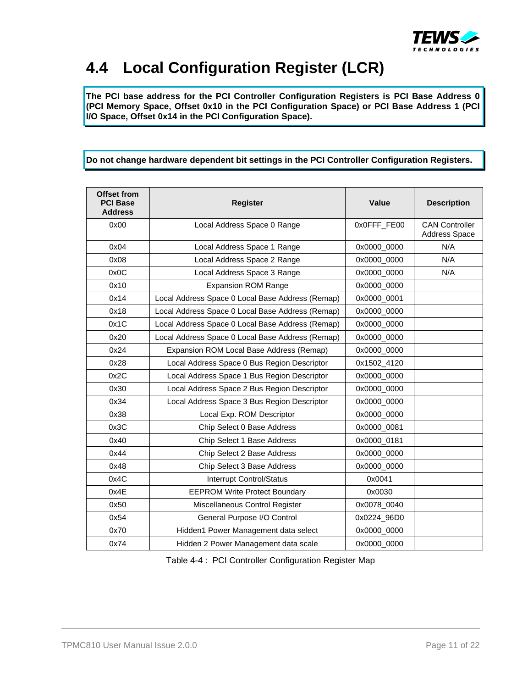

### <span id="page-10-0"></span>**4.4 Local Configuration Register (LCR)**

**The PCI base address for the PCI Controller Configuration Registers is PCI Base Address 0 (PCI Memory Space, Offset 0x10 in the PCI Configuration Space) or PCI Base Address 1 (PCI I/O Space, Offset 0x14 in the PCI Configuration Space).** 

**Do not change hardware dependent bit settings in the PCI Controller Configuration Registers.** 

| Offset from<br><b>PCI Base</b><br><b>Address</b> | <b>Register</b>                                  | <b>Value</b> | <b>Description</b>                            |
|--------------------------------------------------|--------------------------------------------------|--------------|-----------------------------------------------|
| 0x00                                             | Local Address Space 0 Range                      | 0x0FFF_FE00  | <b>CAN Controller</b><br><b>Address Space</b> |
| 0x04                                             | Local Address Space 1 Range                      | 0x0000_0000  | N/A                                           |
| 0x08                                             | Local Address Space 2 Range                      | 0x0000_0000  | N/A                                           |
| 0x0C                                             | Local Address Space 3 Range                      | 0x0000_0000  | N/A                                           |
| 0x10                                             | <b>Expansion ROM Range</b>                       | 0x0000_0000  |                                               |
| 0x14                                             | Local Address Space 0 Local Base Address (Remap) | 0x0000_0001  |                                               |
| 0x18                                             | Local Address Space 0 Local Base Address (Remap) | 0x0000_0000  |                                               |
| 0x1C                                             | Local Address Space 0 Local Base Address (Remap) | 0x0000_0000  |                                               |
| 0x20                                             | Local Address Space 0 Local Base Address (Remap) | 0x0000_0000  |                                               |
| 0x24                                             | Expansion ROM Local Base Address (Remap)         | 0x0000_0000  |                                               |
| 0x28                                             | Local Address Space 0 Bus Region Descriptor      | 0x1502_4120  |                                               |
| 0x2C                                             | Local Address Space 1 Bus Region Descriptor      | 0x0000_0000  |                                               |
| 0x30                                             | Local Address Space 2 Bus Region Descriptor      | 0x0000_0000  |                                               |
| 0x34                                             | Local Address Space 3 Bus Region Descriptor      | 0x0000_0000  |                                               |
| 0x38                                             | Local Exp. ROM Descriptor                        | 0x0000_0000  |                                               |
| 0x3C                                             | Chip Select 0 Base Address                       | 0x0000_0081  |                                               |
| 0x40                                             | Chip Select 1 Base Address                       | 0x0000_0181  |                                               |
| 0x44                                             | Chip Select 2 Base Address                       | 0x0000_0000  |                                               |
| 0x48                                             | Chip Select 3 Base Address                       | 0x0000_0000  |                                               |
| 0x4C                                             | <b>Interrupt Control/Status</b>                  | 0x0041       |                                               |
| 0x4E                                             | <b>EEPROM Write Protect Boundary</b>             | 0x0030       |                                               |
| 0x50                                             | Miscellaneous Control Register                   | 0x0078_0040  |                                               |
| 0x54                                             | General Purpose I/O Control                      | 0x0224_96D0  |                                               |
| 0x70                                             | Hidden1 Power Management data select             | 0x0000_0000  |                                               |
| 0x74                                             | Hidden 2 Power Management data scale             | 0x0000_0000  |                                               |

<span id="page-10-1"></span>Table 4-4 : PCI Controller Configuration Register Map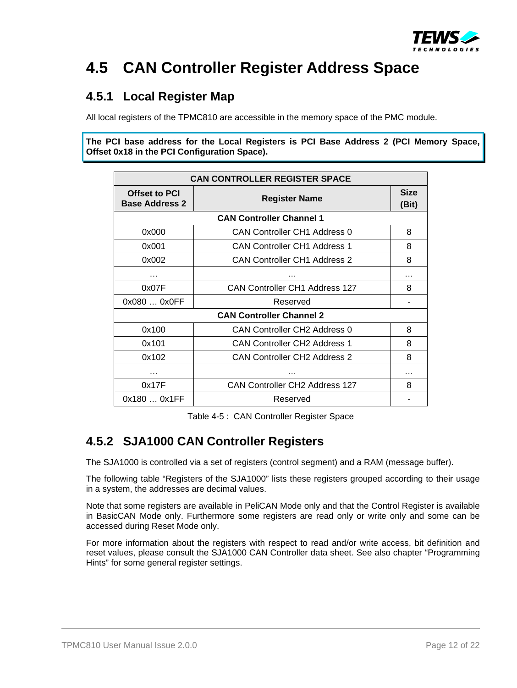

### <span id="page-11-0"></span>**4.5 CAN Controller Register Address Space**

### <span id="page-11-1"></span>**4.5.1 Local Register Map**

All local registers of the TPMC810 are accessible in the memory space of the PMC module.

**The PCI base address for the Local Registers is PCI Base Address 2 (PCI Memory Space, Offset 0x18 in the PCI Configuration Space).** 

| <b>CAN CONTROLLER REGISTER SPACE</b>                           |                                          |   |  |  |  |
|----------------------------------------------------------------|------------------------------------------|---|--|--|--|
| Offset to PCI<br><b>Register Name</b><br><b>Base Address 2</b> |                                          |   |  |  |  |
|                                                                | <b>CAN Controller Channel 1</b>          |   |  |  |  |
| 0x000                                                          | <b>CAN Controller CH1 Address 0</b>      | 8 |  |  |  |
| 0x001                                                          | <b>CAN Controller CH1 Address 1</b>      | 8 |  |  |  |
| 0x002                                                          | <b>CAN Controller CH1 Address 2</b>      | 8 |  |  |  |
| .                                                              |                                          | . |  |  |  |
| 0x07F                                                          | CAN Controller CH1 Address 127           | 8 |  |  |  |
| 0x080  0x0FF                                                   |                                          |   |  |  |  |
|                                                                | <b>CAN Controller Channel 2</b>          |   |  |  |  |
| 0x100                                                          | CAN Controller CH <sub>2</sub> Address 0 | 8 |  |  |  |
| 0x101                                                          | <b>CAN Controller CH2 Address 1</b>      | 8 |  |  |  |
| 0x102                                                          | <b>CAN Controller CH2 Address 2</b>      | 8 |  |  |  |
| .                                                              | $\cdots$                                 |   |  |  |  |
| 0x17F                                                          | <b>CAN Controller CH2 Address 127</b>    | 8 |  |  |  |
| 0x180  0x1FF                                                   | Reserved                                 |   |  |  |  |

Table 4-5 : CAN Controller Register Space

### <span id="page-11-3"></span><span id="page-11-2"></span>**4.5.2 SJA1000 CAN Controller Registers**

The SJA1000 is controlled via a set of registers (control segment) and a RAM (message buffer).

The following table "Registers of the SJA1000" lists these registers grouped according to their usage in a system, the addresses are decimal values.

Note that some registers are available in PeliCAN Mode only and that the Control Register is available in BasicCAN Mode only. Furthermore some registers are read only or write only and some can be accessed during Reset Mode only.

For more information about the registers with respect to read and/or write access, bit definition and reset values, please consult the SJA1000 CAN Controller data sheet. See also chapter "Programming Hints" for some general register settings.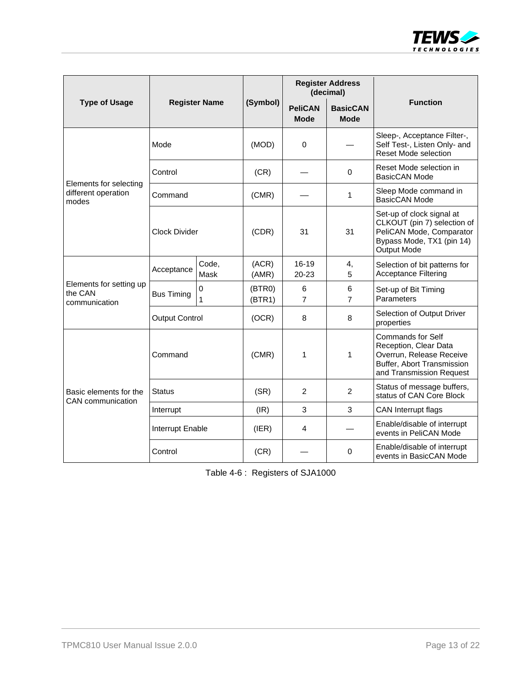

|                                                        | <b>Register Name</b>  |                             |                  | <b>Register Address</b><br>(decimal) |                                |                                                                                                                                         |  |
|--------------------------------------------------------|-----------------------|-----------------------------|------------------|--------------------------------------|--------------------------------|-----------------------------------------------------------------------------------------------------------------------------------------|--|
| <b>Type of Usage</b>                                   |                       |                             | (Symbol)         | <b>PeliCAN</b><br><b>Mode</b>        | <b>BasicCAN</b><br><b>Mode</b> | <b>Function</b>                                                                                                                         |  |
|                                                        | Mode                  |                             |                  | $\mathbf 0$                          |                                | Sleep-, Acceptance Filter-,<br>Self Test-, Listen Only- and<br><b>Reset Mode selection</b>                                              |  |
|                                                        | Control               |                             | (CR)             |                                      | 0                              | Reset Mode selection in<br><b>BasicCAN Mode</b>                                                                                         |  |
| Elements for selecting<br>different operation<br>modes | Command               |                             | (CMR)            |                                      | 1                              | Sleep Mode command in<br>BasicCAN Mode                                                                                                  |  |
|                                                        | Clock Divider         |                             | (CDR)            | 31                                   | 31                             | Set-up of clock signal at<br>CLKOUT (pin 7) selection of<br>PeliCAN Mode, Comparator<br>Bypass Mode, TX1 (pin 14)<br><b>Output Mode</b> |  |
|                                                        | Acceptance            | Code,<br>Mask               | (ACR)<br>(AMR)   | 16-19<br>20-23                       | 4,<br>5                        | Selection of bit patterns for<br><b>Acceptance Filtering</b>                                                                            |  |
| Elements for setting up<br>the CAN<br>communication    | <b>Bus Timing</b>     | $\mathbf 0$<br>$\mathbf{1}$ | (BTR0)<br>(BTR1) | 6<br>7                               | 6<br>$\overline{7}$            | Set-up of Bit Timing<br>Parameters                                                                                                      |  |
|                                                        | <b>Output Control</b> |                             | (OCR)            | 8                                    | 8                              | Selection of Output Driver<br>properties                                                                                                |  |
|                                                        | Command               |                             | (CMR)            | 1                                    | 1                              | <b>Commands for Self</b><br>Reception, Clear Data<br>Overrun, Release Receive<br>Buffer, Abort Transmission<br>and Transmission Request |  |
| Basic elements for the<br><b>CAN</b> communication     | Status                |                             |                  | 2                                    | $\overline{2}$                 | Status of message buffers,<br>status of CAN Core Block                                                                                  |  |
|                                                        | Interrupt             |                             | (IR)             | 3                                    | 3                              | CAN Interrupt flags                                                                                                                     |  |
|                                                        | Interrupt Enable      |                             | (IER)            | 4                                    |                                | Enable/disable of interrupt<br>events in PeliCAN Mode                                                                                   |  |
|                                                        | Control               |                             | (CR)             |                                      | 0                              | Enable/disable of interrupt<br>events in BasicCAN Mode                                                                                  |  |

<span id="page-12-0"></span>

| Table 4-6: Registers of SJA1000 |  |  |
|---------------------------------|--|--|
|---------------------------------|--|--|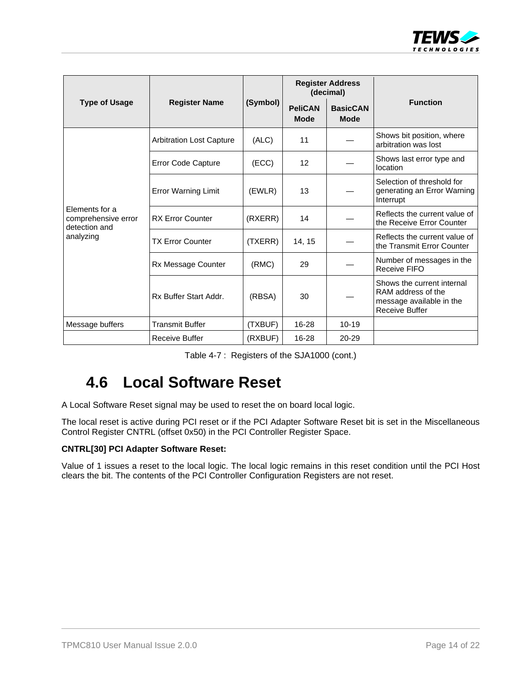

|                                                        |                                 |          | <b>Register Address</b><br>(decimal) |                                |                                                                                                       |
|--------------------------------------------------------|---------------------------------|----------|--------------------------------------|--------------------------------|-------------------------------------------------------------------------------------------------------|
| <b>Type of Usage</b>                                   | <b>Register Name</b>            | (Symbol) | <b>PeliCAN</b><br><b>Mode</b>        | <b>BasicCAN</b><br><b>Mode</b> | <b>Function</b>                                                                                       |
|                                                        | <b>Arbitration Lost Capture</b> | (ALC)    | 11                                   |                                | Shows bit position, where<br>arbitration was lost                                                     |
|                                                        | Error Code Capture              | (ECC)    | 12                                   |                                | Shows last error type and<br>location                                                                 |
| Elements for a<br>comprehensive error<br>detection and | <b>Error Warning Limit</b>      | (EWLR)   | 13                                   |                                | Selection of threshold for<br>generating an Error Warning<br>Interrupt                                |
|                                                        | <b>RX Error Counter</b>         | (RXERR)  | 14                                   |                                | Reflects the current value of<br>the Receive Error Counter                                            |
| analyzing                                              | <b>TX Error Counter</b>         | (TXERR)  | 14, 15                               |                                | Reflects the current value of<br>the Transmit Error Counter                                           |
|                                                        | Rx Message Counter              | (RMC)    | 29                                   |                                | Number of messages in the<br><b>Receive FIFO</b>                                                      |
|                                                        | Rx Buffer Start Addr.           | (RBSA)   | 30                                   |                                | Shows the current internal<br>RAM address of the<br>message available in the<br><b>Receive Buffer</b> |
| Message buffers                                        | <b>Transmit Buffer</b>          | (TXBUF)  | 16-28                                | $10 - 19$                      |                                                                                                       |
|                                                        | Receive Buffer                  | (RXBUF)  | 16-28                                | 20-29                          |                                                                                                       |

|  | Table 4-7: Registers of the SJA1000 (cont.) |  |
|--|---------------------------------------------|--|
|--|---------------------------------------------|--|

### <span id="page-13-1"></span><span id="page-13-0"></span>**4.6 Local Software Reset**

A Local Software Reset signal may be used to reset the on board local logic.

The local reset is active during PCI reset or if the PCI Adapter Software Reset bit is set in the Miscellaneous Control Register CNTRL (offset 0x50) in the PCI Controller Register Space.

#### **CNTRL[30] PCI Adapter Software Reset:**

Value of 1 issues a reset to the local logic. The local logic remains in this reset condition until the PCI Host clears the bit. The contents of the PCI Controller Configuration Registers are not reset.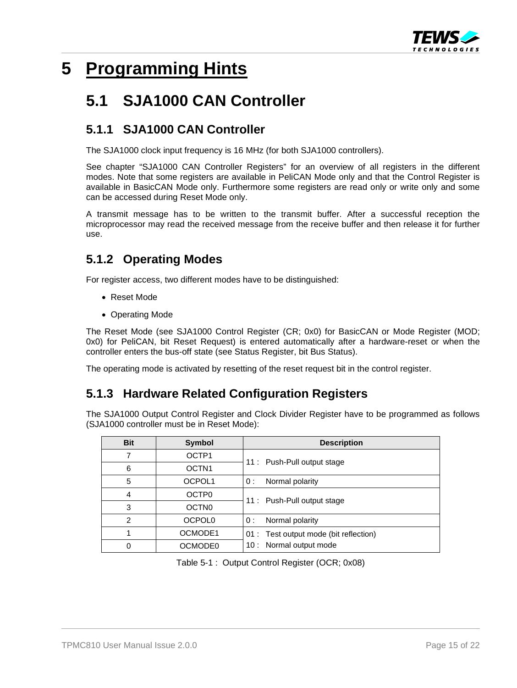

### <span id="page-14-0"></span>**5 Programming Hints**

### <span id="page-14-1"></span>**5.1 SJA1000 CAN Controller**

### <span id="page-14-2"></span>**5.1.1 SJA1000 CAN Controller**

The SJA1000 clock input frequency is 16 MHz (for both SJA1000 controllers).

See chapter "SJA1000 CAN Controller Registers" for an overview of all registers in the different modes. Note that some registers are available in PeliCAN Mode only and that the Control Register is available in BasicCAN Mode only. Furthermore some registers are read only or write only and some can be accessed during Reset Mode only.

A transmit message has to be written to the transmit buffer. After a successful reception the microprocessor may read the received message from the receive buffer and then release it for further use.

### <span id="page-14-3"></span>**5.1.2 Operating Modes**

For register access, two different modes have to be distinguished:

- Reset Mode
- Operating Mode

The Reset Mode (see SJA1000 Control Register (CR; 0x0) for BasicCAN or Mode Register (MOD; 0x0) for PeliCAN, bit Reset Request) is entered automatically after a hardware-reset or when the controller enters the bus-off state (see Status Register, bit Bus Status).

The operating mode is activated by resetting of the reset request bit in the control register.

### <span id="page-14-4"></span>**5.1.3 Hardware Related Configuration Registers**

The SJA1000 Output Control Register and Clock Divider Register have to be programmed as follows (SJA1000 controller must be in Reset Mode):

| <b>Bit</b>     | Symbol             | <b>Description</b>                     |
|----------------|--------------------|----------------------------------------|
| 7              | OCTP1              | 11 : Push-Pull output stage            |
| 6              | OCTN <sub>1</sub>  |                                        |
| 5              | OCPOL1             | Normal polarity<br>0:                  |
| 4              | OCTP <sub>0</sub>  | 11: Push-Pull output stage             |
| 3              | <b>OCTN0</b>       |                                        |
| $\overline{2}$ | OCPOL <sub>0</sub> | Normal polarity<br>0 :                 |
|                | OCMODE1            | 01 : Test output mode (bit reflection) |
| 0              | OCMODE0            | Normal output mode<br>10 :             |

<span id="page-14-5"></span>Table 5-1 : Output Control Register (OCR; 0x08)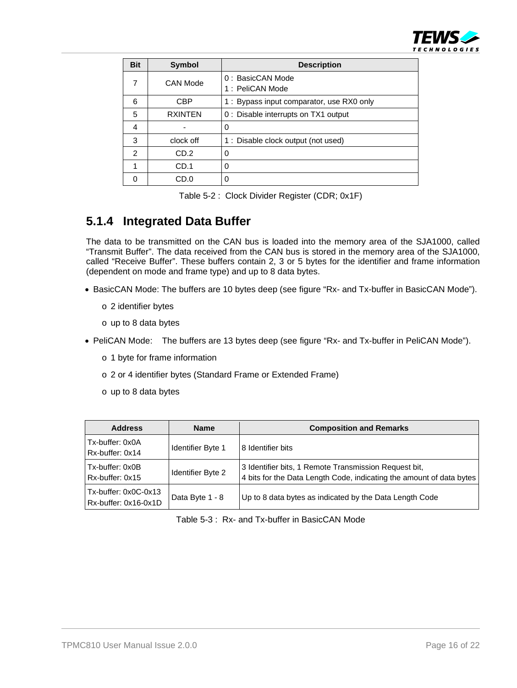

| <b>Bit</b>    | <b>Symbol</b>   | <b>Description</b>                        |
|---------------|-----------------|-------------------------------------------|
| 7             | <b>CAN Mode</b> | 0: BasicCAN Mode                          |
|               |                 | 1: PeliCAN Mode                           |
| 6             | <b>CBP</b>      | 1 : Bypass input comparator, use RX0 only |
| 5             | <b>RXINTEN</b>  | 0: Disable interrupts on TX1 output       |
| 4             |                 | 0                                         |
| 3             | clock off       | 1 : Disable clock output (not used)       |
| $\mathcal{P}$ | CD.2            | ∩                                         |
| 1             | CD.1            | 0                                         |
| n             | CD.0            | ∩                                         |

|  | Table 5-2: Clock Divider Register (CDR; 0x1F) |
|--|-----------------------------------------------|
|  |                                               |

### <span id="page-15-1"></span><span id="page-15-0"></span>**5.1.4 Integrated Data Buffer**

The data to be transmitted on the CAN bus is loaded into the memory area of the SJA1000, called "Transmit Buffer". The data received from the CAN bus is stored in the memory area of the SJA1000, called "Receive Buffer". These buffers contain 2, 3 or 5 bytes for the identifier and frame information (dependent on mode and frame type) and up to 8 data bytes.

- BasicCAN Mode: The buffers are 10 bytes deep (see figure "Rx- and Tx-buffer in BasicCAN Mode").
	- o 2 identifier bytes
	- o up to 8 data bytes
- PeliCAN Mode: The buffers are 13 bytes deep (see figure "Rx- and Tx-buffer in PeliCAN Mode").
	- o 1 byte for frame information
	- o 2 or 4 identifier bytes (Standard Frame or Extended Frame)
	- o up to 8 data bytes

<span id="page-15-2"></span>

| <b>Address</b>                               | <b>Name</b>              | <b>Composition and Remarks</b>                                                                                                |
|----------------------------------------------|--------------------------|-------------------------------------------------------------------------------------------------------------------------------|
| Tx-buffer: 0x0A<br>Rx-buffer: 0x14           | <b>Identifier Byte 1</b> | 8 Identifier bits                                                                                                             |
| Tx-buffer: 0x0B<br>Rx-buffer: 0x15           | Identifier Byte 2        | 3 Identifier bits, 1 Remote Transmission Request bit,<br>4 bits for the Data Length Code, indicating the amount of data bytes |
| Tx-buffer: 0x0C-0x13<br>Rx-buffer: 0x16-0x1D | Data Byte 1 - 8          | Up to 8 data bytes as indicated by the Data Length Code                                                                       |

Table 5-3 : Rx- and Tx-buffer in BasicCAN Mode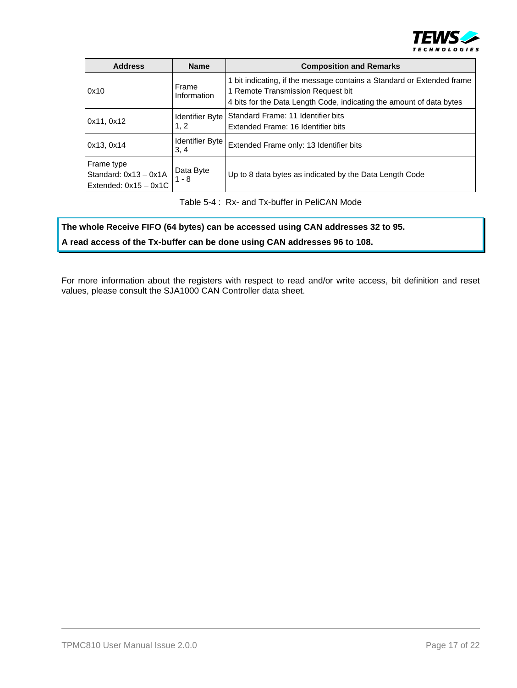

| <b>Address</b>                                                   | <b>Name</b>                    | <b>Composition and Remarks</b>                                                                                                                                                      |
|------------------------------------------------------------------|--------------------------------|-------------------------------------------------------------------------------------------------------------------------------------------------------------------------------------|
| 0x10                                                             | Frame<br>Information           | 1 bit indicating, if the message contains a Standard or Extended frame<br>1 Remote Transmission Request bit<br>4 bits for the Data Length Code, indicating the amount of data bytes |
| 0x11, 0x12                                                       | <b>Identifier Byte</b><br>1, 2 | Standard Frame: 11 Identifier bits<br>Extended Frame: 16 Identifier bits                                                                                                            |
| 0x13, 0x14                                                       | <b>Identifier Byte</b><br>3, 4 | Extended Frame only: 13 Identifier bits                                                                                                                                             |
| Frame type<br>Standard: $0x13 - 0x1A$<br>Extended: $0x15 - 0x1C$ | Data Byte<br>$1 - 8$           | Up to 8 data bytes as indicated by the Data Length Code                                                                                                                             |

Table 5-4 : Rx- and Tx-buffer in PeliCAN Mode

#### <span id="page-16-0"></span>**The whole Receive FIFO (64 bytes) can be accessed using CAN addresses 32 to 95.**

**A read access of the Tx-buffer can be done using CAN addresses 96 to 108.** 

For more information about the registers with respect to read and/or write access, bit definition and reset values, please consult the SJA1000 CAN Controller data sheet.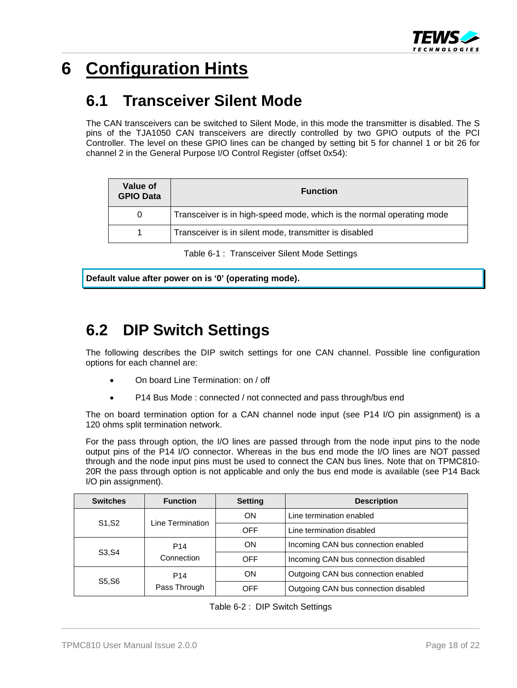

# <span id="page-17-0"></span>**6 Configuration Hints**

### <span id="page-17-1"></span>**6.1 Transceiver Silent Mode**

The CAN transceivers can be switched to Silent Mode, in this mode the transmitter is disabled. The S pins of the TJA1050 CAN transceivers are directly controlled by two GPIO outputs of the PCI Controller. The level on these GPIO lines can be changed by setting bit 5 for channel 1 or bit 26 for channel 2 in the General Purpose I/O Control Register (offset 0x54):

| Value of<br><b>GPIO Data</b> | <b>Function</b>                                                       |
|------------------------------|-----------------------------------------------------------------------|
| 0                            | Transceiver is in high-speed mode, which is the normal operating mode |
|                              | Transceiver is in silent mode, transmitter is disabled                |

Table 6-1 : Transceiver Silent Mode Settings

<span id="page-17-3"></span>**Default value after power on is '0' (operating mode).** 

### <span id="page-17-2"></span>**6.2 DIP Switch Settings**

The following describes the DIP switch settings for one CAN channel. Possible line configuration options for each channel are:

- On board Line Termination: on / off
- P14 Bus Mode : connected / not connected and pass through/bus end

The on board termination option for a CAN channel node input (see P14 I/O pin assignment) is a 120 ohms split termination network.

For the pass through option, the I/O lines are passed through from the node input pins to the node output pins of the P14 I/O connector. Whereas in the bus end mode the I/O lines are NOT passed through and the node input pins must be used to connect the CAN bus lines. Note that on TPMC810- 20R the pass through option is not applicable and only the bus end mode is available (see P14 Back I/O pin assignment).

<span id="page-17-4"></span>

| <b>Switches</b> | <b>Function</b>               | <b>Setting</b> | <b>Description</b>                   |
|-----------------|-------------------------------|----------------|--------------------------------------|
|                 | Line Termination              | <b>ON</b>      | Line termination enabled             |
| S1, S2          |                               | <b>OFF</b>     | Line termination disabled            |
|                 | P <sub>14</sub><br>Connection | OΝ             | Incoming CAN bus connection enabled  |
| S3, S4          |                               | <b>OFF</b>     | Incoming CAN bus connection disabled |
|                 | ON<br>P <sub>14</sub>         |                | Outgoing CAN bus connection enabled  |
| S5, S6          | Pass Through                  | OFF            | Outgoing CAN bus connection disabled |

|  | Table 6-2 : DIP Switch Settings |  |
|--|---------------------------------|--|
|--|---------------------------------|--|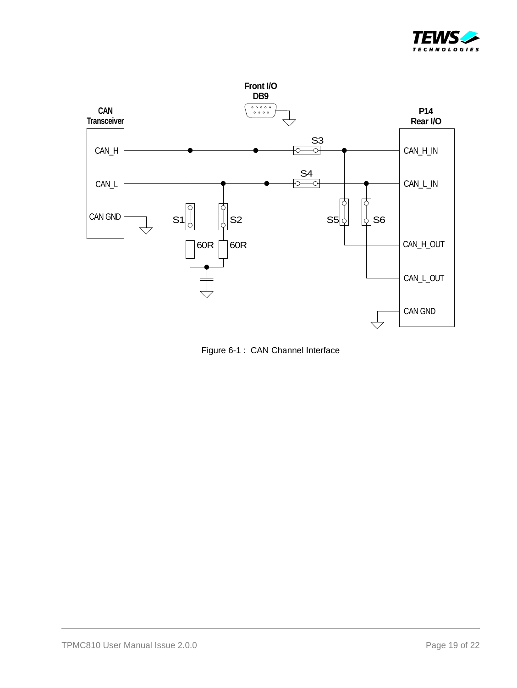



<span id="page-18-0"></span>Figure 6-1 : CAN Channel Interface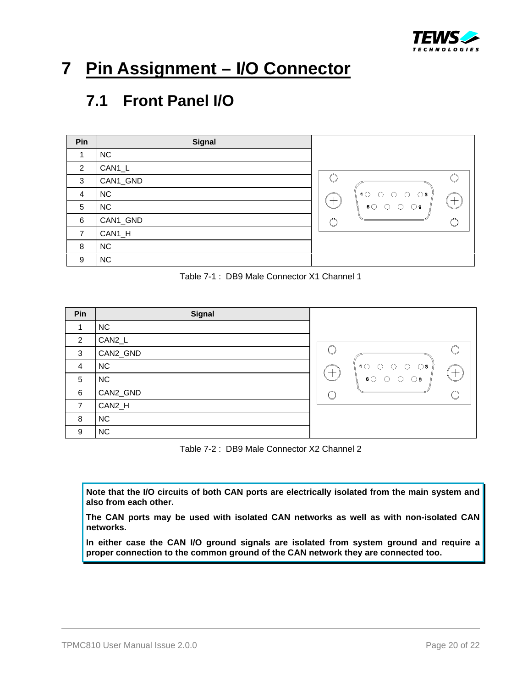

# <span id="page-19-0"></span>**7 Pin Assignment – I/O Connector**

### <span id="page-19-1"></span>**7.1 Front Panel I/O**

| Pin            | Signal    |                                                   |
|----------------|-----------|---------------------------------------------------|
|                | <b>NC</b> |                                                   |
| 2              | CAN1_L    |                                                   |
| 3              | CAN1_GND  |                                                   |
| 4              | <b>NC</b> | 10 0 0 0<br>$\epsilon = \bigcirc \mathbf{5}^{-p}$ |
| 5              | <b>NC</b> | 600<br>$\circ$<br>$\bigcirc$ 9                    |
| 6              | CAN1_GND  |                                                   |
| $\overline{7}$ | CAN1_H    |                                                   |
| 8              | <b>NC</b> |                                                   |
| 9              | <b>NC</b> |                                                   |

Table 7-1 : DB9 Male Connector X1 Channel 1

<span id="page-19-2"></span>

| Pin            | Signal    |                                                              |
|----------------|-----------|--------------------------------------------------------------|
| 1              | <b>NC</b> |                                                              |
| 2              | CAN2_L    |                                                              |
| 3              | CAN2_GND  |                                                              |
| $\overline{4}$ | <b>NC</b> | $1^\circ$<br>O<br>$\bigcirc$ 5<br>∩<br>∩<br>$-$              |
| 5              | <b>NC</b> | $\hspace{0.1mm} +$<br>$\mathbf{6} \bigcirc$<br>∩<br>⊙ 9<br>∪ |
| 6              | CAN2_GND  |                                                              |
| $\overline{7}$ | CAN2_H    |                                                              |
| 8              | <b>NC</b> |                                                              |
| 9              | <b>NC</b> |                                                              |

Table 7-2 : DB9 Male Connector X2 Channel 2

<span id="page-19-3"></span>**Note that the I/O circuits of both CAN ports are electrically isolated from the main system and also from each other.** 

**The CAN ports may be used with isolated CAN networks as well as with non-isolated CAN networks.** 

**In either case the CAN I/O ground signals are isolated from system ground and require a proper connection to the common ground of the CAN network they are connected too.**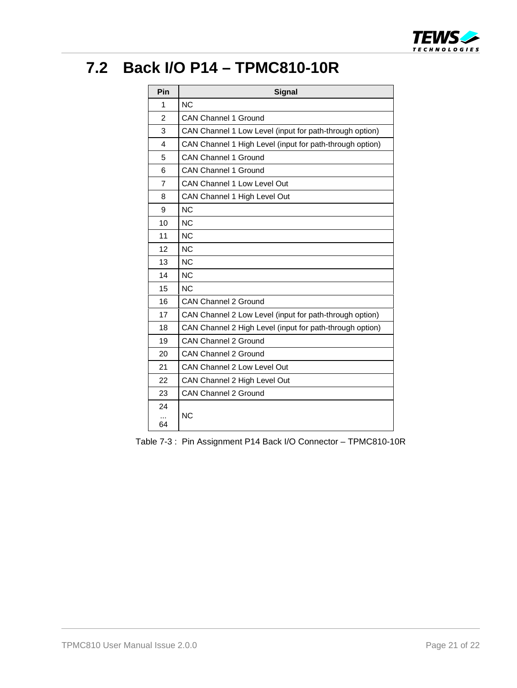

### <span id="page-20-0"></span>**7.2 Back I/O P14 – TPMC810-10R**

| Pin                     | <b>Signal</b>                                            |  |
|-------------------------|----------------------------------------------------------|--|
| 1                       | N <sub>C</sub>                                           |  |
| $\overline{2}$          | <b>CAN Channel 1 Ground</b>                              |  |
| 3                       | CAN Channel 1 Low Level (input for path-through option)  |  |
| $\overline{\mathbf{4}}$ | CAN Channel 1 High Level (input for path-through option) |  |
| 5                       | <b>CAN Channel 1 Ground</b>                              |  |
| 6                       | <b>CAN Channel 1 Ground</b>                              |  |
| $\overline{7}$          | <b>CAN Channel 1 Low Level Out</b>                       |  |
| 8                       | CAN Channel 1 High Level Out                             |  |
| 9                       | NC                                                       |  |
| 10                      | NC                                                       |  |
| 11                      | N <sub>C</sub>                                           |  |
| 12                      | N <sub>C</sub>                                           |  |
| 13                      | <b>NC</b>                                                |  |
| 14                      | NC                                                       |  |
| 15                      | NC                                                       |  |
| 16                      | <b>CAN Channel 2 Ground</b>                              |  |
| 17                      | CAN Channel 2 Low Level (input for path-through option)  |  |
| 18                      | CAN Channel 2 High Level (input for path-through option) |  |
| 19                      | <b>CAN Channel 2 Ground</b>                              |  |
| 20                      | <b>CAN Channel 2 Ground</b>                              |  |
| 21                      | CAN Channel 2 Low Level Out                              |  |
| 22                      | CAN Channel 2 High Level Out                             |  |
| 23                      | <b>CAN Channel 2 Ground</b>                              |  |
| 24                      |                                                          |  |
| 64                      | <b>NC</b>                                                |  |

<span id="page-20-1"></span>Table 7-3 : Pin Assignment P14 Back I/O Connector – TPMC810-10R